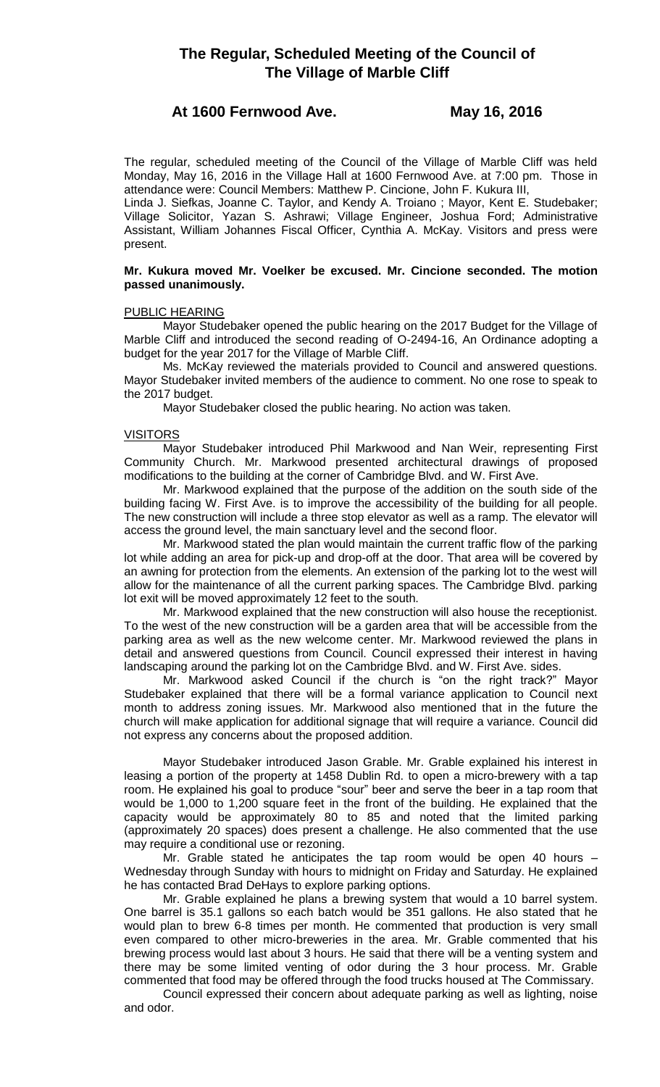# **The Regular, Scheduled Meeting of the Council of The Village of Marble Cliff**

## **At 1600 Fernwood Ave. May 16, 2016**

The regular, scheduled meeting of the Council of the Village of Marble Cliff was held Monday, May 16, 2016 in the Village Hall at 1600 Fernwood Ave. at 7:00 pm. Those in attendance were: Council Members: Matthew P. Cincione, John F. Kukura III,

Linda J. Siefkas, Joanne C. Taylor, and Kendy A. Troiano ; Mayor, Kent E. Studebaker; Village Solicitor, Yazan S. Ashrawi; Village Engineer, Joshua Ford; Administrative Assistant, William Johannes Fiscal Officer, Cynthia A. McKay. Visitors and press were present.

## **Mr. Kukura moved Mr. Voelker be excused. Mr. Cincione seconded. The motion passed unanimously.**

## PUBLIC HEARING

Mayor Studebaker opened the public hearing on the 2017 Budget for the Village of Marble Cliff and introduced the second reading of O-2494-16, An Ordinance adopting a budget for the year 2017 for the Village of Marble Cliff.

Ms. McKay reviewed the materials provided to Council and answered questions. Mayor Studebaker invited members of the audience to comment. No one rose to speak to the 2017 budget.

Mayor Studebaker closed the public hearing. No action was taken.

## **VISITORS**

Mayor Studebaker introduced Phil Markwood and Nan Weir, representing First Community Church. Mr. Markwood presented architectural drawings of proposed modifications to the building at the corner of Cambridge Blvd. and W. First Ave.

Mr. Markwood explained that the purpose of the addition on the south side of the building facing W. First Ave. is to improve the accessibility of the building for all people. The new construction will include a three stop elevator as well as a ramp. The elevator will access the ground level, the main sanctuary level and the second floor.

Mr. Markwood stated the plan would maintain the current traffic flow of the parking lot while adding an area for pick-up and drop-off at the door. That area will be covered by an awning for protection from the elements. An extension of the parking lot to the west will allow for the maintenance of all the current parking spaces. The Cambridge Blvd. parking lot exit will be moved approximately 12 feet to the south.

Mr. Markwood explained that the new construction will also house the receptionist. To the west of the new construction will be a garden area that will be accessible from the parking area as well as the new welcome center. Mr. Markwood reviewed the plans in detail and answered questions from Council. Council expressed their interest in having landscaping around the parking lot on the Cambridge Blvd. and W. First Ave. sides.

Mr. Markwood asked Council if the church is "on the right track?" Mayor Studebaker explained that there will be a formal variance application to Council next month to address zoning issues. Mr. Markwood also mentioned that in the future the church will make application for additional signage that will require a variance. Council did not express any concerns about the proposed addition.

Mayor Studebaker introduced Jason Grable. Mr. Grable explained his interest in leasing a portion of the property at 1458 Dublin Rd. to open a micro-brewery with a tap room. He explained his goal to produce "sour" beer and serve the beer in a tap room that would be 1,000 to 1,200 square feet in the front of the building. He explained that the capacity would be approximately 80 to 85 and noted that the limited parking (approximately 20 spaces) does present a challenge. He also commented that the use may require a conditional use or rezoning.

Mr. Grable stated he anticipates the tap room would be open 40 hours – Wednesday through Sunday with hours to midnight on Friday and Saturday. He explained he has contacted Brad DeHays to explore parking options.

Mr. Grable explained he plans a brewing system that would a 10 barrel system. One barrel is 35.1 gallons so each batch would be 351 gallons. He also stated that he would plan to brew 6-8 times per month. He commented that production is very small even compared to other micro-breweries in the area. Mr. Grable commented that his brewing process would last about 3 hours. He said that there will be a venting system and there may be some limited venting of odor during the 3 hour process. Mr. Grable commented that food may be offered through the food trucks housed at The Commissary.

Council expressed their concern about adequate parking as well as lighting, noise and odor.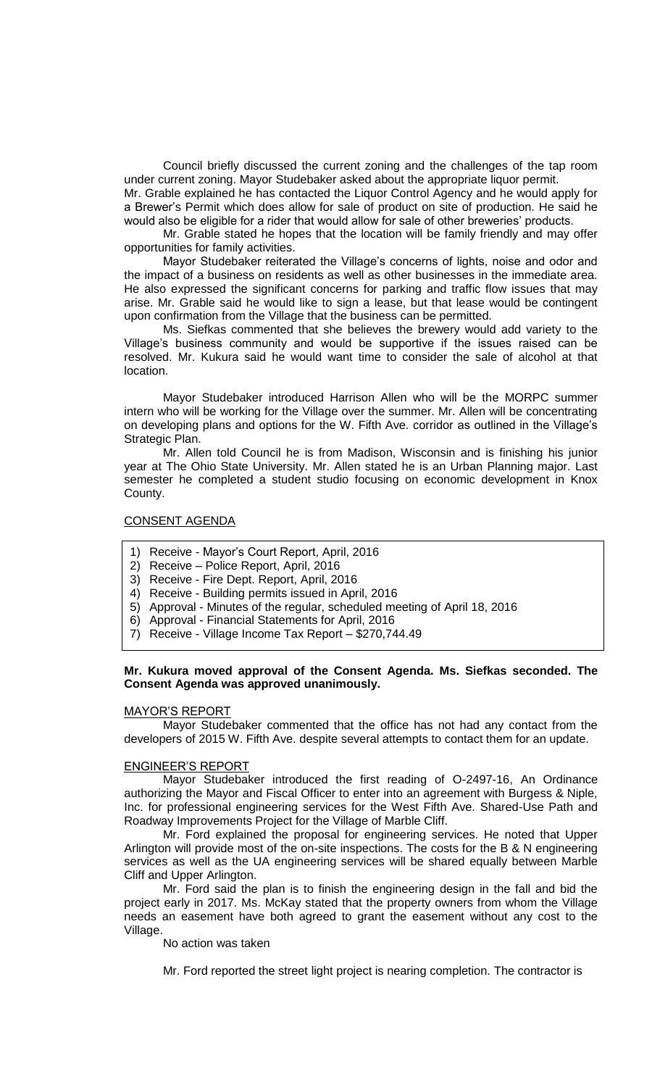Council briefly discussed the current zoning and the challenges of the tap room under current zoning. Mayor Studebaker asked about the appropriate liquor permit.

Mr. Grable explained he has contacted the Liquor Control Agency and he would apply for a Brewer's Permit which does allow for sale of product on site of production. He said he would also be eligible for a rider that would allow for sale of other breweries' products.

Mr. Grable stated he hopes that the location will be family friendly and may offer opportunities for family activities.

Mayor Studebaker reiterated the Village's concerns of lights, noise and odor and the impact of a business on residents as well as other businesses in the immediate area. He also expressed the significant concerns for parking and traffic flow issues that may arise. Mr. Grable said he would like to sign a lease, but that lease would be contingent upon confirmation from the Village that the business can be permitted.

Ms. Siefkas commented that she believes the brewery would add variety to the Village's business community and would be supportive if the issues raised can be resolved. Mr. Kukura said he would want time to consider the sale of alcohol at that location.

Mayor Studebaker introduced Harrison Allen who will be the MORPC summer intern who will be working for the Village over the summer. Mr. Allen will be concentrating on developing plans and options for the W. Fifth Ave. corridor as outlined in the Village's Strategic Plan.

Mr. Allen told Council he is from Madison, Wisconsin and is finishing his junior year at The Ohio State University. Mr. Allen stated he is an Urban Planning major. Last semester he completed a student studio focusing on economic development in Knox County.

## CONSENT AGENDA

- 1) Receive Mayor's Court Report, April, 2016
- 2) Receive Police Report, April, 2016
- 3) Receive Fire Dept. Report, April, 2016
- 4) Receive Building permits issued in April, 2016
- 5) Approval Minutes of the regular, scheduled meeting of April 18, 2016
- 6) Approval Financial Statements for April, 2016
- 7) Receive Village Income Tax Report \$270,744.49

### **Mr. Kukura moved approval of the Consent Agenda. Ms. Siefkas seconded. The Consent Agenda was approved unanimously.**

## MAYOR'S REPORT

Mayor Studebaker commented that the office has not had any contact from the developers of 2015 W. Fifth Ave. despite several attempts to contact them for an update.

## ENGINEER'S REPORT

Mayor Studebaker introduced the first reading of O-2497-16, An Ordinance authorizing the Mayor and Fiscal Officer to enter into an agreement with Burgess & Niple, Inc. for professional engineering services for the West Fifth Ave. Shared-Use Path and Roadway Improvements Project for the Village of Marble Cliff.

Mr. Ford explained the proposal for engineering services. He noted that Upper Arlington will provide most of the on-site inspections. The costs for the B & N engineering services as well as the UA engineering services will be shared equally between Marble Cliff and Upper Arlington.

Mr. Ford said the plan is to finish the engineering design in the fall and bid the project early in 2017. Ms. McKay stated that the property owners from whom the Village needs an easement have both agreed to grant the easement without any cost to the Village.

No action was taken

Mr. Ford reported the street light project is nearing completion. The contractor is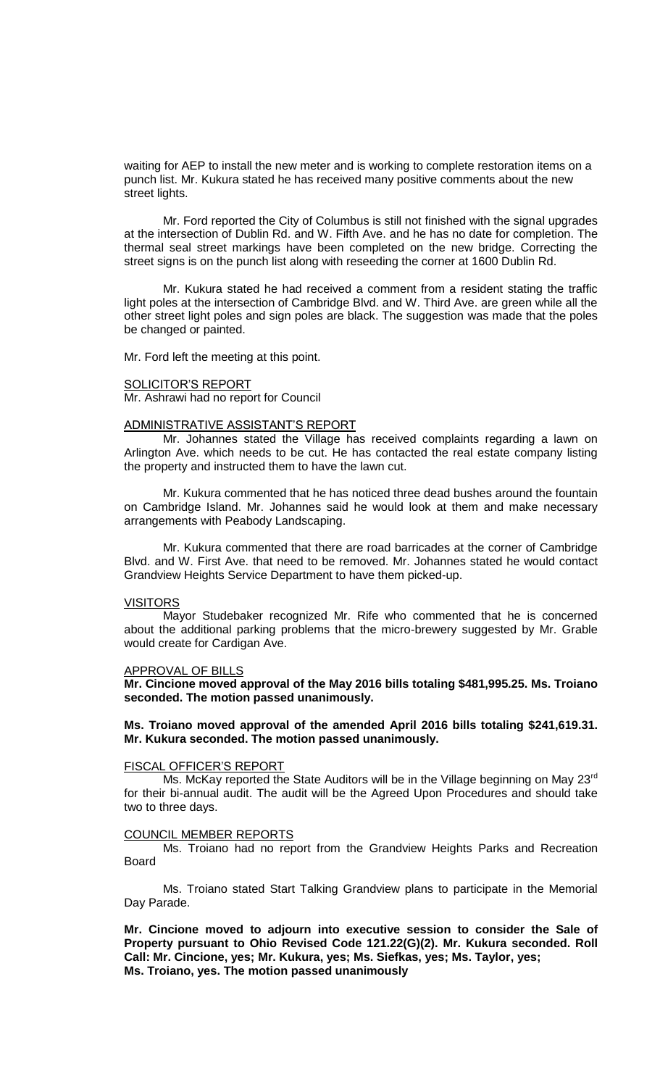waiting for AEP to install the new meter and is working to complete restoration items on a punch list. Mr. Kukura stated he has received many positive comments about the new street lights.

Mr. Ford reported the City of Columbus is still not finished with the signal upgrades at the intersection of Dublin Rd. and W. Fifth Ave. and he has no date for completion. The thermal seal street markings have been completed on the new bridge. Correcting the street signs is on the punch list along with reseeding the corner at 1600 Dublin Rd.

Mr. Kukura stated he had received a comment from a resident stating the traffic light poles at the intersection of Cambridge Blvd. and W. Third Ave. are green while all the other street light poles and sign poles are black. The suggestion was made that the poles be changed or painted.

Mr. Ford left the meeting at this point.

#### SOLICITOR'S REPORT

Mr. Ashrawi had no report for Council

#### ADMINISTRATIVE ASSISTANT'S REPORT

Mr. Johannes stated the Village has received complaints regarding a lawn on Arlington Ave. which needs to be cut. He has contacted the real estate company listing the property and instructed them to have the lawn cut.

Mr. Kukura commented that he has noticed three dead bushes around the fountain on Cambridge Island. Mr. Johannes said he would look at them and make necessary arrangements with Peabody Landscaping.

Mr. Kukura commented that there are road barricades at the corner of Cambridge Blvd. and W. First Ave. that need to be removed. Mr. Johannes stated he would contact Grandview Heights Service Department to have them picked-up.

### VISITORS

Mayor Studebaker recognized Mr. Rife who commented that he is concerned about the additional parking problems that the micro-brewery suggested by Mr. Grable would create for Cardigan Ave.

#### APPROVAL OF BILLS

**Mr. Cincione moved approval of the May 2016 bills totaling \$481,995.25. Ms. Troiano seconded. The motion passed unanimously.**

## **Ms. Troiano moved approval of the amended April 2016 bills totaling \$241,619.31. Mr. Kukura seconded. The motion passed unanimously.**

#### FISCAL OFFICER'S REPORT

Ms. McKay reported the State Auditors will be in the Village beginning on May 23<sup>rd</sup> for their bi-annual audit. The audit will be the Agreed Upon Procedures and should take two to three days.

#### COUNCIL MEMBER REPORTS

Ms. Troiano had no report from the Grandview Heights Parks and Recreation Board

Ms. Troiano stated Start Talking Grandview plans to participate in the Memorial Day Parade.

**Mr. Cincione moved to adjourn into executive session to consider the Sale of Property pursuant to Ohio Revised Code 121.22(G)(2). Mr. Kukura seconded. Roll Call: Mr. Cincione, yes; Mr. Kukura, yes; Ms. Siefkas, yes; Ms. Taylor, yes; Ms. Troiano, yes. The motion passed unanimously**